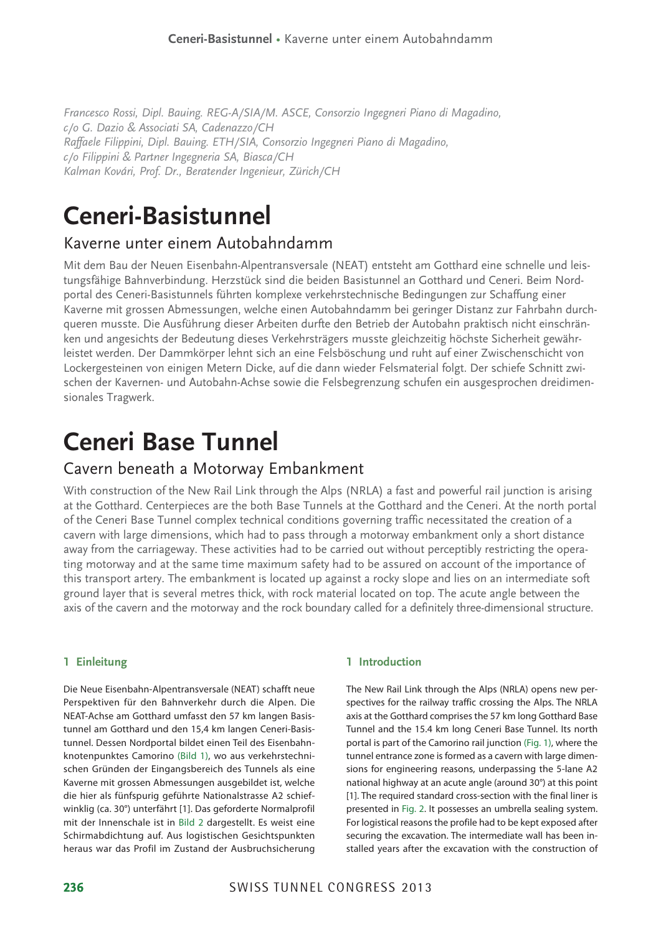*Francesco Rossi, Dipl. Bauing. REG-A/SIA/M. ASCE, Consorzio Ingegneri Piano di Magadino, c/o G. Dazio* & *Associati SA, Cadenazzo/CH Raffaele Filippini, Dipl. Bauing. ETH/SIA, Consorzio Ingegneri Piano di Magadino, c/o Filippini* & *Partner Ingegneria SA, Biasca/CH Kalman Kovári, Prof. Dr., Beratender Ingenieur, Zürich/CH*

# **Ceneri-Basistunnel**

# Kaverne unter einem Autobahndamm

Mit dem Bau der Neuen Eisenbahn-Alpentransversale (NEAT) entsteht am Gotthard eine schnelle und leistungsfähige Bahnverbindung. Herzstück sind die beiden Basistunnel an Gotthard und Ceneri. Beim Nordportal des Ceneri-Basistunnels führten komplexe verkehrstechnische Bedingungen zur Schaffung einer Kaverne mit grossen Abmessungen, welche einen Autobahndamm bei geringer Distanz zur Fahrbahn durchgueren musste. Die Ausführung dieser Arbeiten durfte den Betrieb der Autobahn praktisch nicht einschränken und angesichts der Bedeutung dieses Verkehrsträgers musste gleichzeitig höchste Sicherheit gewährleistet werden. Der Dammkörper lehnt sich an eine Felsböschung und ruht auf einer Zwischenschicht von Lockergesteinen von einigen Metern Dicke, auf die dann wieder Felsmaterial folgt. Der schiefe Schnitt zwischen der Kavernen- und Autobahn-Achse sowie die Felsbegrenzung schufen ein ausgesprochen dreidimensionales Tragwerk.

# **Ceneri Base Tunnel**

# Cavern beneath a Motorway Embankment

With construction of the New Rail Link through the Alps (NRLA) a fast and powerful rail junction is arising at the Gotthard. Centerpieces are the both Base Tunnels at the Gotthard and the Ceneri. At the north portal of the Ceneri Base Tunnel complex technical conditions governing traffic necessitated the creation of a cavern with large dimensions, which had to pass through a motorway embankment only a short distance away from the carriageway. These activities had to be carried out without perceptibly restricting the operating motorway and at the same time maximum safety had to be assured on account of the importance of this transport artery. The embankment is located up against a rocky slope and lies on an intermediate soft ground layer that is several metres thick, with rock material located on top. The acute angle between the axis of the cavern and the motorway and the rock boundary called for a definitely three-dimensional structure.

# **1 Einleitung**

Die Neue Eisenbahn-Alpentransversale (NEAT) schafft neue Perspektiven für den Bahnverkehr durch die Alpen. Die NEAT-Achse am Gotthard umfasst den 57 km langen Basistunnel am Gotthard und den 15,4 km langen Ceneri-Basistunnel. Dessen Nordportal bildet einen Teil des Eisenbahnknotenpunktes Camorino (Bild 1), wo aus verkehrstechnischen Gründen der Eingangsbereich des Tunnels als eine Kaverne mit grossen Abmessungen ausgebildet ist, welche die hier als fünfspurig geführte Nationalstrasse A2 schiefwinklig (ca. 30°) unterfährt [1]. Das geforderte Normalprofil mit der Innenschale ist in Bild 2 dargestellt. Es weist eine Schirmabdichtung auf. Aus logistischen Gesichtspunkten heraus war das Profil im Zustand der Ausbruchsicherung

# **1 Introduction**

The New Rail Link through the Alps (NRLA) opens new perspectives for the railway traffic crossing the Alps. The NRLA axis at the Gotthard comprises the 57 km long Gotthard Base Tunnel and the 15.4 km long Ceneri Base Tunnel. Its north portal is part of the Camorino rail junction (Fig. 1), where the tunnel entrance zone is formed as a cavern with large dimensions for engineering reasons, underpassing the 5-lane A2 national highway at an acute angle (around 30°) at this point [1]. The required standard cross-section with the final liner is presented in Fig. 2. It possesses an umbrella sealing system. For logistical reasons the profile had to be kept exposed after securing the excavation. The intermediate wall has been installed years after the excavation with the construction of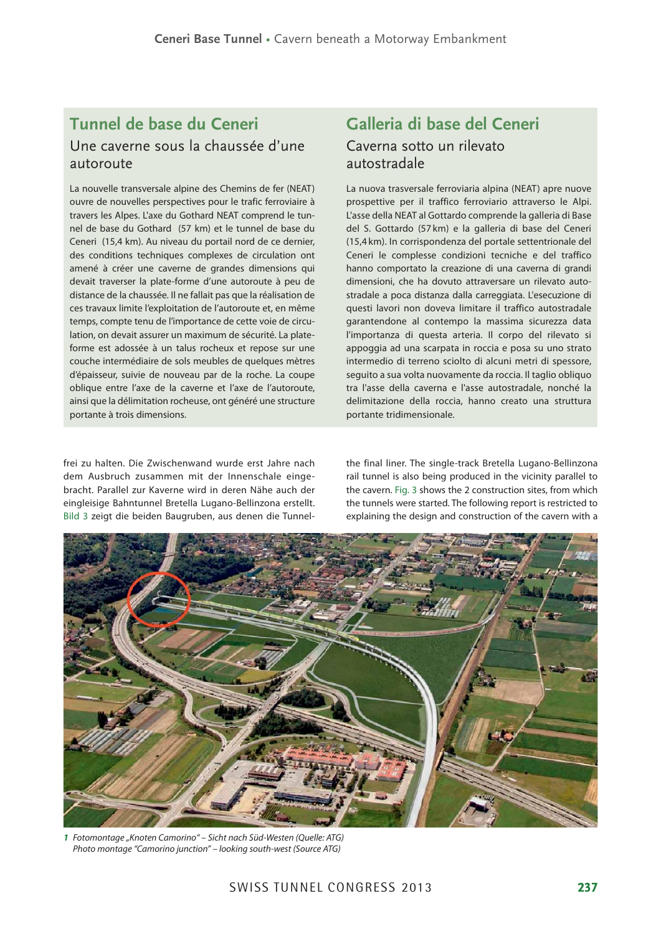# **Tunnel de base du Ceneri** Une caverne sous la chaussée d'une autoroute

La nouvelle transversale alpine des Chemins de fer (NEAT) ouvre de nouvelles perspectives pour le trafic ferroviaire à travers les Alpes. L'axe du Gothard NEAT comprend le tunnel de base du Gothard (57 km) et le tunnel de base du Ceneri (15,4 km). Au niveau du portail nord de ce dernier, des conditions techniques complexes de circulation ont amené à créer une caverne de grandes dimensions qui devait traverser la plate-forme d'une autoroute à peu de distance de la chaussée. Il ne fallait pas que la réalisation de ces travaux limite l'exploitation de l'autoroute et, en même temps, compte tenu de l'importance de cette voie de circulation, on devait assurer un maximum de sécurité. La plateforme est adossée à un talus rocheux et repose sur une couche intermédiaire de sols meubles de quelques mètres d'épaisseur, suivie de nouveau par de la roche. La coupe oblique entre l'axe de la caverne et l'axe de l'autoroute, ainsi que la délimitation rocheuse, ont généré une structure portante à trois dimensions.

frei zu halten. Die Zwischenwand wurde erst Jahre nach dem Ausbruch zusammen mit der Innenschale eingebracht. Parallel zur Kaverne wird in deren Nähe auch der eingleisige Bahntunnel Bretella Lugano-Bellinzona erstellt. Bild 3 zeigt die beiden Baugruben, aus denen die Tunnel-

# **Galleria di base del Ceneri** Caverna sotto un rilevato autostradale

La nuova trasversale ferroviaria alpina (NEAT) apre nuove prospettive per il traffico ferroviario attraverso le Alpi. L'asse della NEAT al Gottardo comprende la galleria di Base del S. Gottardo (57 km) e la galleria di base del Ceneri (15,4 km). In corrispondenza del portale settentrionale del Ceneri le complesse condizioni tecniche e del traffico hanno comportato la creazione di una caverna di grandi dimensioni, che ha dovuto attraversare un rilevato autostradale a poca distanza dalla carreggiata. L'esecuzione di questi lavori non doveva limitare il traffico autostradale garantendone al contempo la massima sicurezza data l'importanza di questa arteria. Il corpo del rilevato si appoggia ad una scarpata in roccia e posa su uno strato intermedio di terreno sciolto di alcuni metri di spessore, seguito a sua volta nuovamente da roccia. Il taglio obliquo tra l'asse della caverna e l'asse autostradale, nonché la delimitazione della roccia, hanno creato una struttura portante tridimensionale.

the final liner. The single-track Bretella Lugano-Bellinzona rail tunnel is also being produced in the vicinity parallel to the cavern. Fig. 3 shows the 2 construction sites, from which the tunnels were started. The following report is restricted to explaining the design and construction of the cavern with a



1 Fotomontage "Knoten Camorino" – Sicht nach Süd-Westen (Quelle: ATG) Photo montage "Camorino junction" – looking south-west (Source ATG)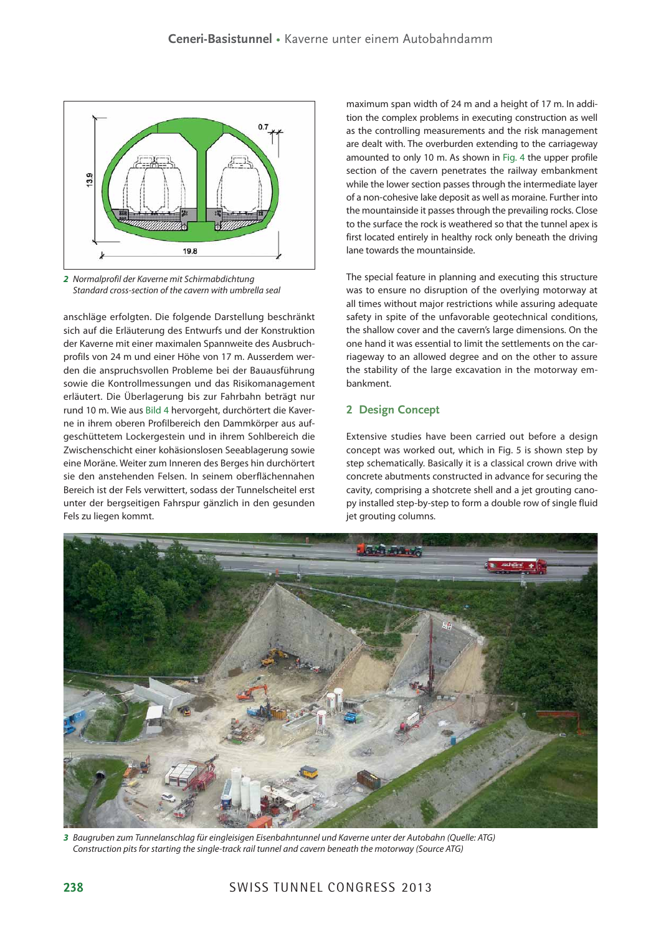

*2* Normalprofil der Kaverne mit Schirmabdichtung Standard cross-section of the cavern with umbrella seal

anschläge erfolgten. Die folgende Darstellung beschränkt sich auf die Erläuterung des Entwurfs und der Konstruktion der Kaverne mit einer maximalen Spannweite des Ausbruchprofils von 24 m und einer Höhe von 17 m. Ausserdem werden die anspruchsvollen Probleme bei der Bauausführung sowie die Kontrollmessungen und das Risikomanagement erläutert. Die Überlagerung bis zur Fahrbahn beträgt nur rund 10 m. Wie aus Bild 4 hervorgeht, durchörtert die Kaverne in ihrem oberen Profilbereich den Dammkörper aus aufgeschüttetem Lockergestein und in ihrem Sohlbereich die Zwischenschicht einer kohäsionslosen Seeablagerung sowie eine Moräne. Weiter zum Inneren des Berges hin durchörtert sie den anstehenden Felsen. In seinem oberflächennahen Bereich ist der Fels verwittert, sodass der Tunnelscheitel erst unter der bergseitigen Fahrspur gänzlich in den gesunden Fels zu liegen kommt.

maximum span width of 24 m and a height of 17 m. In addition the complex problems in executing construction as well as the controlling measurements and the risk management are dealt with. The overburden extending to the carriageway amounted to only 10 m. As shown in Fig. 4 the upper profile section of the cavern penetrates the railway embankment while the lower section passes through the intermediate layer of a non-cohesive lake deposit as well as moraine. Further into the mountainside it passes through the prevailing rocks. Close to the surface the rock is weathered so that the tunnel apex is first located entirely in healthy rock only beneath the driving lane towards the mountainside.

The special feature in planning and executing this structure was to ensure no disruption of the overlying motorway at all times without major restrictions while assuring adequate safety in spite of the unfavorable geotechnical conditions, the shallow cover and the cavern's large dimensions. On the one hand it was essential to limit the settlements on the carriageway to an allowed degree and on the other to assure the stability of the large excavation in the motorway embankment.

# **2 Design Concept**

Extensive studies have been carried out before a design concept was worked out, which in Fig. 5 is shown step by step schematically. Basically it is a classical crown drive with concrete abutments constructed in advance for securing the cavity, comprising a shotcrete shell and a jet grouting canopy installed step-by-step to form a double row of single fluid jet grouting columns.



*3* Baugruben zum Tunnelanschlag für eingleisigen Eisenbahntunnel und Kaverne unter der Autobahn (Quelle: ATG) Construction pits for starting the single-track rail tunnel and cavern beneath the motorway (Source ATG)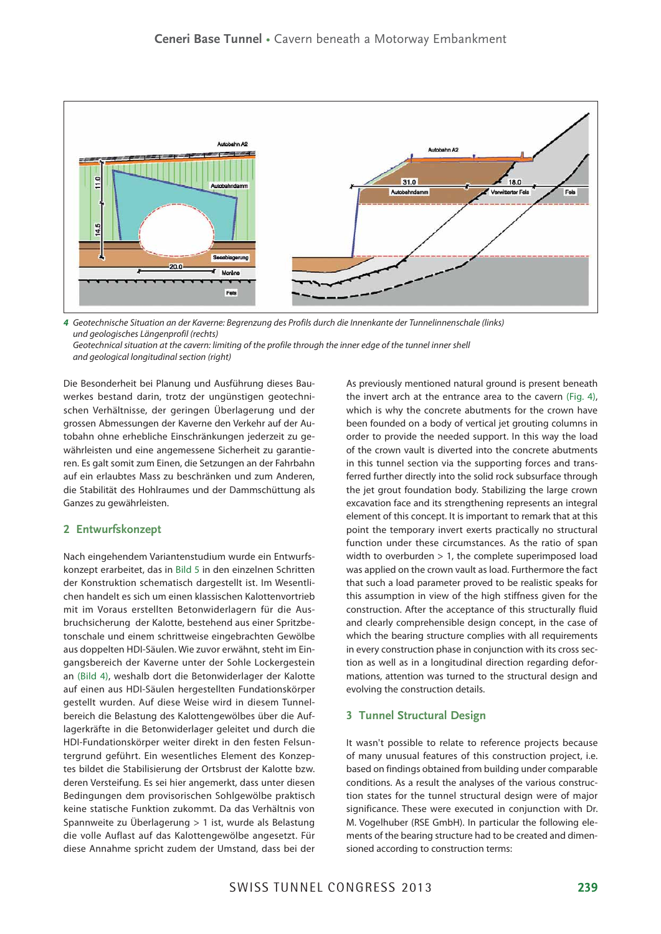

*4* Geotechnische Situation an der Kaverne: Begrenzung des Profils durch die Innenkante der Tunnelinnenschale (links) und geologisches Längenprofil (rechts)

Geotechnical situation at the cavern: limiting of the profile through the inner edge of the tunnel inner shell and geological longitudinal section (right)

Die Besonderheit bei Planung und Ausführung dieses Bauwerkes bestand darin, trotz der ungünstigen geotechnischen Verhältnisse, der geringen Überlagerung und der grossen Abmessungen der Kaverne den Verkehr auf der Autobahn ohne erhebliche Einschränkungen jederzeit zu gewährleisten und eine angemessene Sicherheit zu garantieren. Es galt somit zum Einen, die Setzungen an der Fahrbahn auf ein erlaubtes Mass zu beschränken und zum Anderen, die Stabilität des Hohlraumes und der Dammschüttung als Ganzes zu gewährleisten.

# **2 Entwurfskonzept**

Nach eingehendem Variantenstudium wurde ein Entwurfskonzept erarbeitet, das in Bild 5 in den einzelnen Schritten der Konstruktion schematisch dargestellt ist. Im Wesentlichen handelt es sich um einen klassischen Kalottenvortrieb mit im Voraus erstellten Betonwiderlagern für die Ausbruchsicherung der Kalotte, bestehend aus einer Spritzbetonschale und einem schrittweise eingebrachten Gewölbe aus doppelten HDI-Säulen. Wie zuvor erwähnt, steht im Eingangsbereich der Kaverne unter der Sohle Lockergestein an (Bild 4), weshalb dort die Betonwiderlager der Kalotte auf einen aus HDI-Säulen hergestellten Fundationskörper gestellt wurden. Auf diese Weise wird in diesem Tunnelbereich die Belastung des Kalottengewölbes über die Auflagerkräfte in die Betonwiderlager geleitet und durch die HDI-Fundationskörper weiter direkt in den festen Felsuntergrund geführt. Ein wesentliches Element des Konzeptes bildet die Stabilisierung der Ortsbrust der Kalotte bzw. deren Versteifung. Es sei hier angemerkt, dass unter diesen Bedingungen dem provisorischen Sohlgewölbe praktisch keine statische Funktion zukommt. Da das Verhältnis von Spannweite zu Überlagerung > 1 ist, wurde als Belastung die volle Auflast auf das Kalottengewölbe angesetzt. Für diese Annahme spricht zudem der Umstand, dass bei der As previously mentioned natural ground is present beneath the invert arch at the entrance area to the cavern (Fig. 4), which is why the concrete abutments for the crown have been founded on a body of vertical jet grouting columns in order to provide the needed support. In this way the load of the crown vault is diverted into the concrete abutments in this tunnel section via the supporting forces and transferred further directly into the solid rock subsurface through the jet grout foundation body. Stabilizing the large crown excavation face and its strengthening represents an integral element of this concept. It is important to remark that at this point the temporary invert exerts practically no structural function under these circumstances. As the ratio of span width to overburden > 1, the complete superimposed load was applied on the crown vault as load. Furthermore the fact that such a load parameter proved to be realistic speaks for this assumption in view of the high stiffness given for the construction. After the acceptance of this structurally fluid and clearly comprehensible design concept, in the case of which the bearing structure complies with all requirements in every construction phase in conjunction with its cross section as well as in a longitudinal direction regarding deformations, attention was turned to the structural design and evolving the construction details.

# **3 Tunnel Structural Design**

It wasn't possible to relate to reference projects because of many unusual features of this construction project, i.e. based on findings obtained from building under comparable conditions. As a result the analyses of the various construction states for the tunnel structural design were of major significance. These were executed in conjunction with Dr. M. Vogelhuber (RSE GmbH). In particular the following elements of the bearing structure had to be created and dimensioned according to construction terms: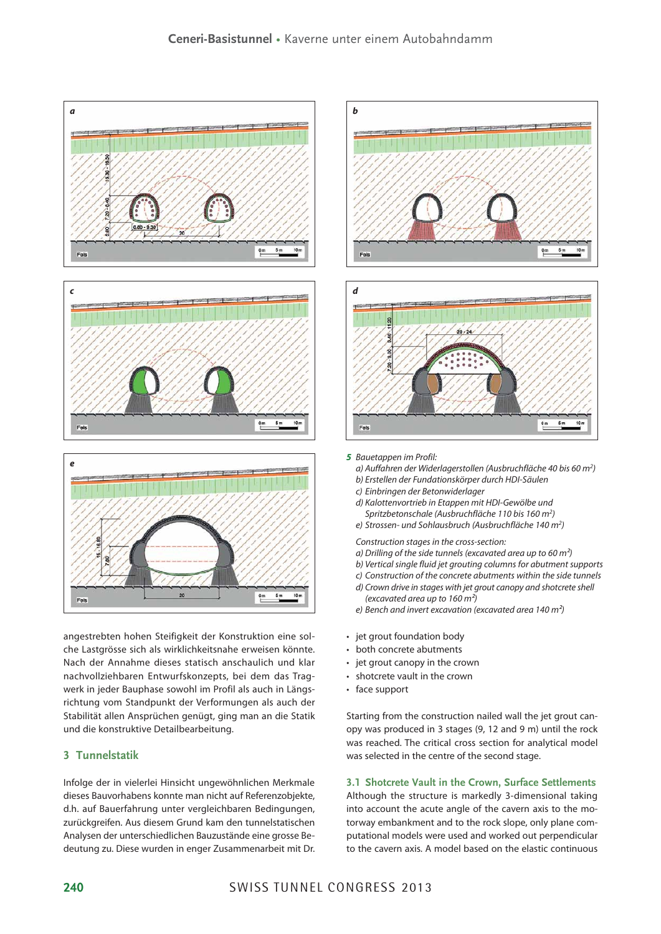

angestrebten hohen Steifigkeit der Konstruktion eine solche Lastgrösse sich als wirklichkeitsnahe erweisen könnte. Nach der Annahme dieses statisch anschaulich und klar nachvollziehbaren Entwurfskonzepts, bei dem das Tragwerk in jeder Bauphase sowohl im Profil als auch in Längsrichtung vom Standpunkt der Verformungen als auch der Stabilität allen Ansprüchen genügt, ging man an die Statik und die konstruktive Detailbearbeitung.

# **3 Tunnelstatik**

Infolge der in vielerlei Hinsicht ungewöhnlichen Merkmale dieses Bauvorhabens konnte man nicht auf Referenzobjekte, d.h. auf Bauerfahrung unter vergleichbaren Bedingungen, zurückgreifen. Aus diesem Grund kam den tunnelstatischen Analysen der unterschiedlichen Bauzustände eine grosse Bedeutung zu. Diese wurden in enger Zusammenarbeit mit Dr.





#### *5* Bauetappen im Profil:

- a) Auffahren der Widerlagerstollen (Ausbruchfläche 40 bis 60 m<sup>2</sup>)
- b) Erstellen der Fundationskörper durch HDI-Säulen
- c) Einbringen der Betonwiderlager
- d) Kalottenvortrieb in Etappen mit HDI-Gewölbe und
- Spritzbetonschale (Ausbruchfläche 110 bis 160 m<sup>2</sup>) e) Strossen- und Sohlausbruch (Ausbruchfläche 140 m<sup>2</sup>)
- Construction stages in the cross-section:
- a) Drilling of the side tunnels (excavated area up to 60  $m<sup>2</sup>$ )
- b) Vertical single fluid jet grouting columns for abutment supports
- c) Construction of the concrete abutments within the side tunnels
- d) Crown drive in stages with jet grout canopy and shotcrete shell (excavated area up to  $160 \text{ m}^2$ )
- e) Bench and invert excavation (excavated area 140 m<sup>2</sup>)
- jet grout foundation body
- both concrete abutments
- $\cdot$  jet grout canopy in the crown
- shotcrete vault in the crown
- face support

Starting from the construction nailed wall the jet grout canopy was produced in 3 stages (9, 12 and 9 m) until the rock was reached. The critical cross section for analytical model was selected in the centre of the second stage.

**3.1 Shotcrete Vault in the Crown, Surface Settlements** Although the structure is markedly 3-dimensional taking into account the acute angle of the cavern axis to the motorway embankment and to the rock slope, only plane computational models were used and worked out perpendicular to the cavern axis. A model based on the elastic continuous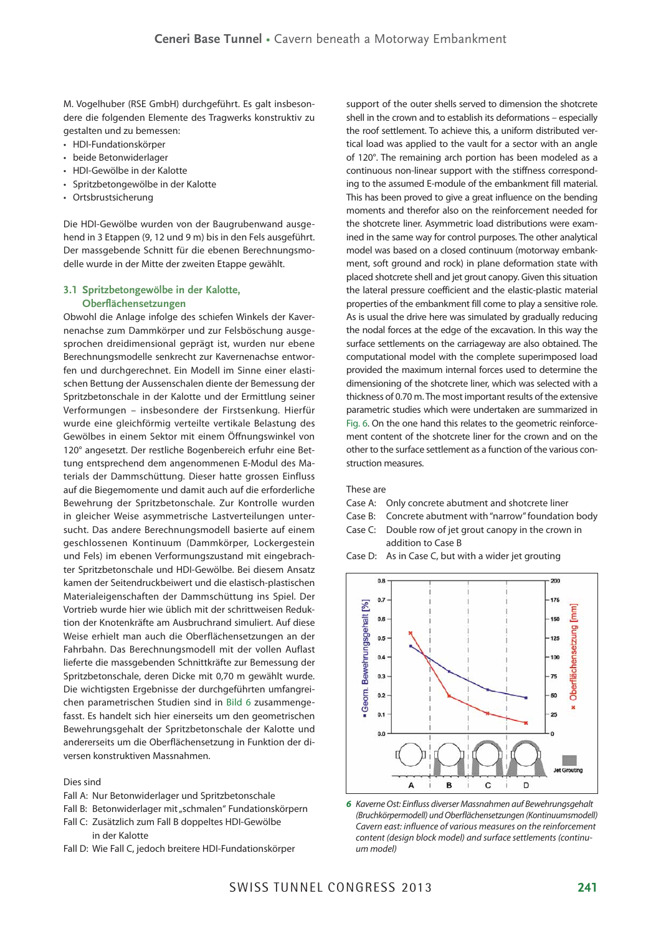M. Vogelhuber (RSE GmbH) durchgeführt. Es galt insbesondere die folgenden Elemente des Tragwerks konstruktiv zu gestalten und zu bemessen:

- r HDI-Fundationskörper
- beide Betonwiderlager
- HDI-Gewölbe in der Kalotte
- Spritzbetongewölbe in der Kalotte
- Ortsbrustsicherung

Die HDI-Gewölbe wurden von der Baugrubenwand ausgehend in 3 Etappen (9, 12 und 9 m) bis in den Fels ausgeführt. Der massgebende Schnitt für die ebenen Berechnungsmodelle wurde in der Mitte der zweiten Etappe gewählt.

#### **3.1 Spritzbetongewölbe in der Kalotte, Oberflächensetzungen**

Obwohl die Anlage infolge des schiefen Winkels der Kavernenachse zum Dammkörper und zur Felsböschung ausgesprochen dreidimensional geprägt ist, wurden nur ebene Berechnungsmodelle senkrecht zur Kavernenachse entworfen und durchgerechnet. Ein Modell im Sinne einer elastischen Bettung der Aussenschalen diente der Bemessung der Spritzbetonschale in der Kalotte und der Ermittlung seiner Verformungen – insbesondere der Firstsenkung. Hierfür wurde eine gleichförmig verteilte vertikale Belastung des Gewölbes in einem Sektor mit einem Öffnungswinkel von 120° angesetzt. Der restliche Bogenbereich erfuhr eine Bettung entsprechend dem angenommenen E-Modul des Materials der Dammschüttung. Dieser hatte grossen Einfluss auf die Biegemomente und damit auch auf die erforderliche Bewehrung der Spritzbetonschale. Zur Kontrolle wurden in gleicher Weise asymmetrische Lastverteilungen untersucht. Das andere Berechnungsmodell basierte auf einem geschlossenen Kontinuum (Dammkörper, Lockergestein und Fels) im ebenen Verformungszustand mit eingebrachter Spritzbetonschale und HDI-Gewölbe. Bei diesem Ansatz kamen der Seitendruckbeiwert und die elastisch-plastischen Materialeigenschaften der Dammschüttung ins Spiel. Der Vortrieb wurde hier wie üblich mit der schrittweisen Reduktion der Knotenkräfte am Ausbruchrand simuliert. Auf diese Weise erhielt man auch die Oberflächensetzungen an der Fahrbahn. Das Berechnungsmodell mit der vollen Auflast lieferte die massgebenden Schnittkräfte zur Bemessung der Spritzbetonschale, deren Dicke mit 0,70 m gewählt wurde. Die wichtigsten Ergebnisse der durchgeführten umfangreichen parametrischen Studien sind in Bild 6 zusammengefasst. Es handelt sich hier einerseits um den geometrischen Bewehrungsgehalt der Spritzbetonschale der Kalotte und andererseits um die Oberflächensetzung in Funktion der diversen konstruktiven Massnahmen.

## Dies sind

- Fall A: Nur Betonwiderlager und Spritzbetonschale
- Fall B: Betonwiderlager mit "schmalen" Fundationskörpern
- Fall C: Zusätzlich zum Fall B doppeltes HDI-Gewölbe in der Kalotte
- Fall D: Wie Fall C, jedoch breitere HDI-Fundationskörper

support of the outer shells served to dimension the shotcrete shell in the crown and to establish its deformations – especially the roof settlement. To achieve this, a uniform distributed vertical load was applied to the vault for a sector with an angle of 120°. The remaining arch portion has been modeled as a continuous non-linear support with the stiffness corresponding to the assumed E-module of the embankment fill material. This has been proved to give a great influence on the bending moments and therefor also on the reinforcement needed for the shotcrete liner. Asymmetric load distributions were examined in the same way for control purposes. The other analytical model was based on a closed continuum (motorway embankment, soft ground and rock) in plane deformation state with placed shotcrete shell and jet grout canopy. Given this situation the lateral pressure coefficient and the elastic-plastic material properties of the embankment fill come to play a sensitive role. As is usual the drive here was simulated by gradually reducing the nodal forces at the edge of the excavation. In this way the surface settlements on the carriageway are also obtained. The computational model with the complete superimposed load provided the maximum internal forces used to determine the dimensioning of the shotcrete liner, which was selected with a thickness of 0.70 m. The most important results of the extensive parametric studies which were undertaken are summarized in Fig. 6. On the one hand this relates to the geometric reinforcement content of the shotcrete liner for the crown and on the other to the surface settlement as a function of the various construction measures.

#### These are

- Case A: Only concrete abutment and shotcrete liner
- Case B: Concrete abutment with "narrow" foundation body
- Case C: Double row of jet grout canopy in the crown in addition to Case B
- Case D: As in Case C, but with a wider jet grouting



*6* Kaverne Ost: Einfluss diverser Massnahmen auf Bewehrungsgehalt (Bruchkörpermodell) und Oberflächensetzungen (Kontinuumsmodell) Cavern east: influence of various measures on the reinforcement content (design block model) and surface settlements (continuum model)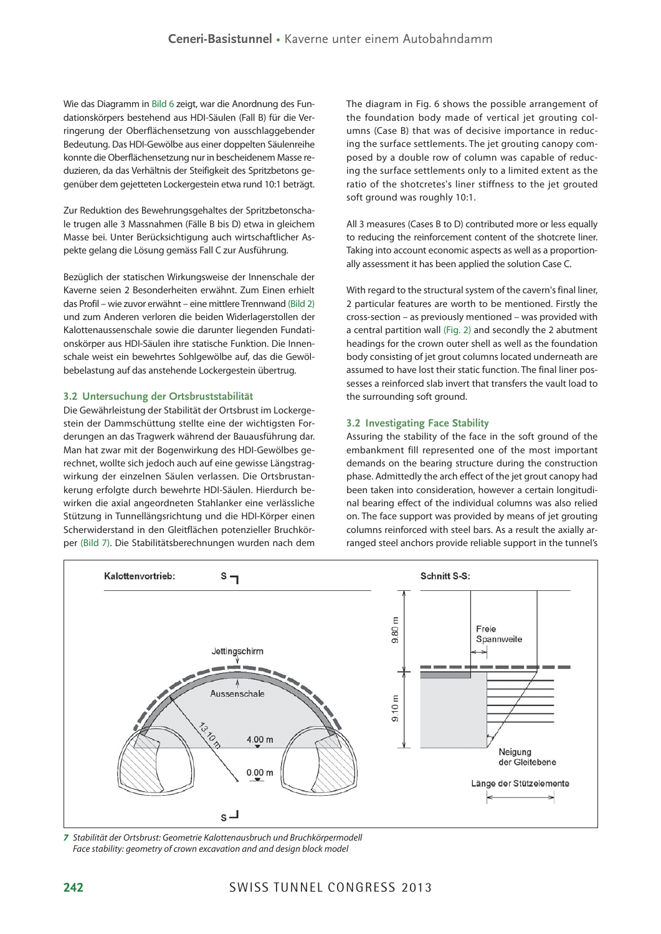Wie das Diagramm in Bild 6 zeigt, war die Anordnung des Fundationskörpers bestehend aus HDI-Säulen (Fall B) für die Verringerung der Oberflächensetzung von ausschlaggebender Bedeutung. Das HDI-Gewölbe aus einer doppelten Säulenreihe konnte die Oberflächensetzung nur in bescheidenem Masse reduzieren, da das Verhältnis der Steifigkeit des Spritzbetons gegenüber dem gejetteten Lockergestein etwa rund 10:1 beträgt.

Zur Reduktion des Bewehrungsgehaltes der Spritzbetonschale trugen alle 3 Massnahmen (Fälle B bis D) etwa in gleichem Masse bei. Unter Berücksichtigung auch wirtschaftlicher Aspekte gelang die Lösung gemäss Fall C zur Ausführung.

Bezüglich der statischen Wirkungsweise der Innenschale der Kaverne seien 2 Besonderheiten erwähnt. Zum Einen erhielt das Profil – wie zuvor erwähnt – eine mittlere Trennwand (Bild 2) und zum Anderen verloren die beiden Widerlagerstollen der Kalottenaussenschale sowie die darunter liegenden Fundationskörper aus HDI-Säulen ihre statische Funktion. Die Innenschale weist ein bewehrtes Sohlgewölbe auf, das die Gewölbebelastung auf das anstehende Lockergestein übertrug.

#### **3.2 Untersuchung der Ortsbruststabilität**

Die Gewährleistung der Stabilität der Ortsbrust im Lockergestein der Dammschüttung stellte eine der wichtigsten Forderungen an das Tragwerk während der Bauausführung dar. Man hat zwar mit der Bogenwirkung des HDI-Gewölbes gerechnet, wollte sich jedoch auch auf eine gewisse Längstragwirkung der einzelnen Säulen verlassen. Die Ortsbrustankerung erfolgte durch bewehrte HDI-Säulen. Hierdurch bewirken die axial angeordneten Stahlanker eine verlässliche Stützung in Tunnellängsrichtung und die HDI-Körper einen Scherwiderstand in den Gleitflächen potenzieller Bruchkörper (Bild 7). Die Stabilitätsberechnungen wurden nach dem The diagram in Fig. 6 shows the possible arrangement of the foundation body made of vertical jet grouting columns (Case B) that was of decisive importance in reducing the surface settlements. The jet grouting canopy composed by a double row of column was capable of reducing the surface settlements only to a limited extent as the ratio of the shotcretes's liner stiffness to the jet grouted soft ground was roughly 10:1.

All 3 measures (Cases B to D) contributed more or less equally to reducing the reinforcement content of the shotcrete liner. Taking into account economic aspects as well as a proportionally assessment it has been applied the solution Case C.

With regard to the structural system of the cavern's final liner. 2 particular features are worth to be mentioned. Firstly the cross-section – as previously mentioned – was provided with a central partition wall (Fig. 2) and secondly the 2 abutment headings for the crown outer shell as well as the foundation body consisting of jet grout columns located underneath are assumed to have lost their static function. The final liner possesses a reinforced slab invert that transfers the vault load to the surrounding soft ground.

#### **3.2 Investigating Face Stability**

Assuring the stability of the face in the soft ground of the embankment fill represented one of the most important demands on the bearing structure during the construction phase. Admittedly the arch effect of the jet grout canopy had been taken into consideration, however a certain longitudinal bearing effect of the individual columns was also relied on. The face support was provided by means of jet grouting columns reinforced with steel bars. As a result the axially arranged steel anchors provide reliable support in the tunnel's



*7* Stabilität der Ortsbrust: Geometrie Kalottenausbruch und Bruchkörpermodell Face stability: geometry of crown excavation and and design block model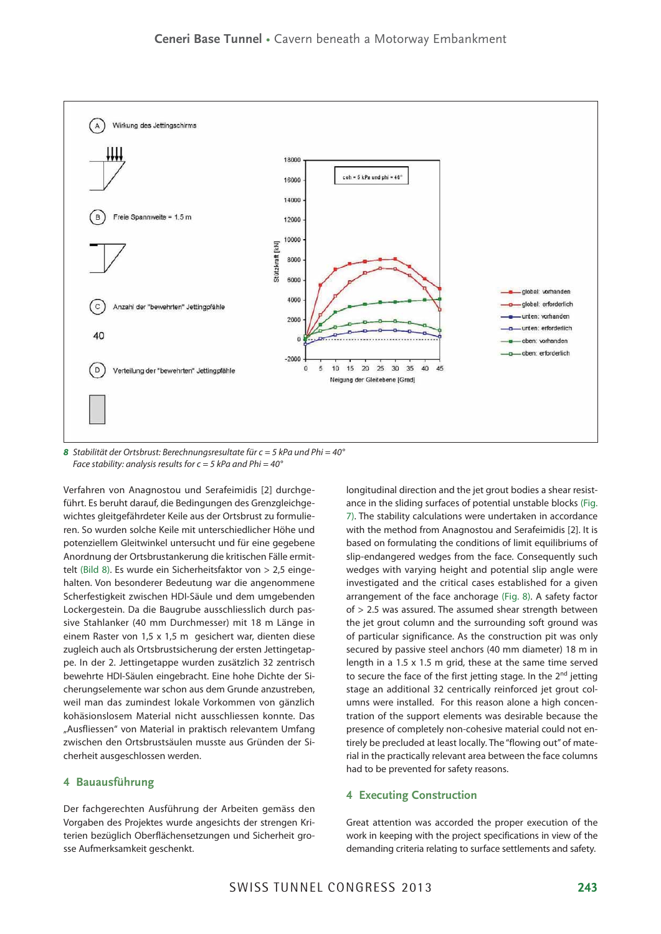

**8** Stabilität der Ortsbrust: Berechnungsresultate für  $c = 5$  kPa und Phi = 40° Face stability: analysis results for  $c = 5$  kPa and Phi = 40°

Verfahren von Anagnostou und Serafeimidis [2] durchgeführt. Es beruht darauf, die Bedingungen des Grenzgleichgewichtes gleitgefährdeter Keile aus der Ortsbrust zu formulieren. So wurden solche Keile mit unterschiedlicher Höhe und potenziellem Gleitwinkel untersucht und für eine gegebene Anordnung der Ortsbrustankerung die kritischen Fälle ermittelt (Bild 8). Es wurde ein Sicherheitsfaktor von > 2,5 eingehalten. Von besonderer Bedeutung war die angenommene Scherfestigkeit zwischen HDI-Säule und dem umgebenden Lockergestein. Da die Baugrube ausschliesslich durch passive Stahlanker (40 mm Durchmesser) mit 18 m Länge in einem Raster von 1,5 x 1,5 m gesichert war, dienten diese zugleich auch als Ortsbrustsicherung der ersten Jettingetappe. In der 2. Jettingetappe wurden zusätzlich 32 zentrisch bewehrte HDI-Säulen eingebracht. Eine hohe Dichte der Sicherungselemente war schon aus dem Grunde anzustreben, weil man das zumindest lokale Vorkommen von gänzlich kohäsionslosem Material nicht ausschliessen konnte. Das "Ausfliessen" von Material in praktisch relevantem Umfang zwischen den Ortsbrustsäulen musste aus Gründen der Sicherheit ausgeschlossen werden.

#### **4 Bauausführung**

Der fachgerechten Ausführung der Arbeiten gemäss den Vorgaben des Projektes wurde angesichts der strengen Kriterien bezüglich Oberflächensetzungen und Sicherheit grosse Aufmerksamkeit geschenkt.

longitudinal direction and the jet grout bodies a shear resistance in the sliding surfaces of potential unstable blocks (Fig. 7). The stability calculations were undertaken in accordance with the method from Anagnostou and Serafeimidis [2]. It is based on formulating the conditions of limit equilibriums of slip-endangered wedges from the face. Consequently such wedges with varying height and potential slip angle were investigated and the critical cases established for a given arrangement of the face anchorage (Fig. 8). A safety factor of > 2.5 was assured. The assumed shear strength between the jet grout column and the surrounding soft ground was of particular significance. As the construction pit was only secured by passive steel anchors (40 mm diameter) 18 m in length in a 1.5 x 1.5 m grid, these at the same time served to secure the face of the first jetting stage. In the 2<sup>nd</sup> jetting stage an additional 32 centrically reinforced jet grout columns were installed. For this reason alone a high concentration of the support elements was desirable because the presence of completely non-cohesive material could not entirely be precluded at least locally. The "flowing out" of material in the practically relevant area between the face columns had to be prevented for safety reasons.

#### **4 Executing Construction**

Great attention was accorded the proper execution of the work in keeping with the project specifications in view of the demanding criteria relating to surface settlements and safety.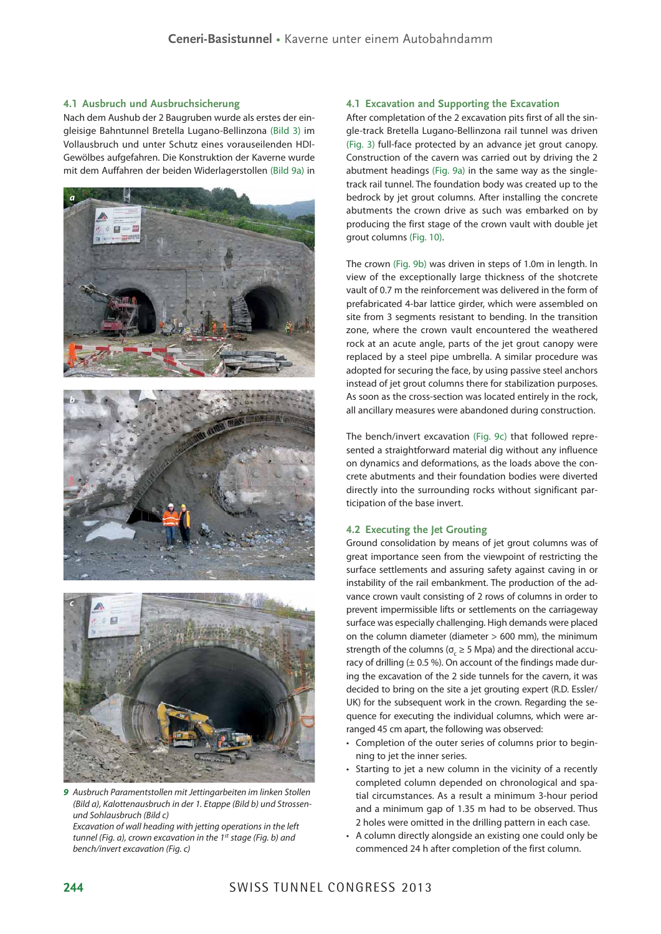#### **4.1 Ausbruch und Ausbruchsicherung**

Nach dem Aushub der 2 Baugruben wurde als erstes der eingleisige Bahntunnel Bretella Lugano-Bellinzona (Bild 3) im Vollausbruch und unter Schutz eines vorauseilenden HDI-Gewölbes aufgefahren. Die Konstruktion der Kaverne wurde mit dem Auffahren der beiden Widerlagerstollen (Bild 9a) in





*9* Ausbruch Paramentstollen mit Jettingarbeiten im linken Stollen (Bild a), Kalottenausbruch in der 1. Etappe (Bild b) und Strossenund Sohlausbruch (Bild c)

Excavation of wall heading with jetting operations in the left tunnel (Fig. a), crown excavation in the 1<sup>st</sup> stage (Fig. b) and bench/invert excavation (Fig. c)

#### **4.1 Excavation and Supporting the Excavation**

After completation of the 2 excavation pits first of all the single-track Bretella Lugano-Bellinzona rail tunnel was driven (Fig. 3) full-face protected by an advance jet grout canopy. Construction of the cavern was carried out by driving the 2 abutment headings (Fig. 9a) in the same way as the singletrack rail tunnel. The foundation body was created up to the bedrock by jet grout columns. After installing the concrete abutments the crown drive as such was embarked on by producing the first stage of the crown vault with double jet grout columns (Fig. 10).

The crown (Fig. 9b) was driven in steps of 1.0m in length. In view of the exceptionally large thickness of the shotcrete vault of 0.7 m the reinforcement was delivered in the form of prefabricated 4-bar lattice girder, which were assembled on site from 3 segments resistant to bending. In the transition zone, where the crown vault encountered the weathered rock at an acute angle, parts of the jet grout canopy were replaced by a steel pipe umbrella. A similar procedure was adopted for securing the face, by using passive steel anchors instead of jet grout columns there for stabilization purposes. As soon as the cross-section was located entirely in the rock, all ancillary measures were abandoned during construction.

The bench/invert excavation (Fig. 9c) that followed represented a straightforward material dig without any influence on dynamics and deformations, as the loads above the concrete abutments and their foundation bodies were diverted directly into the surrounding rocks without significant participation of the base invert.

## **4.2 Executing the Jet Grouting**

Ground consolidation by means of jet grout columns was of great importance seen from the viewpoint of restricting the surface settlements and assuring safety against caving in or instability of the rail embankment. The production of the advance crown vault consisting of 2 rows of columns in order to prevent impermissible lifts or settlements on the carriageway surface was especially challenging. High demands were placed on the column diameter (diameter > 600 mm), the minimum strength of the columns ( $\sigma_{c} \geq 5$  Mpa) and the directional accuracy of drilling  $(\pm 0.5 \%)$ . On account of the findings made during the excavation of the 2 side tunnels for the cavern, it was decided to bring on the site a jet grouting expert (R.D. Essler/ UK) for the subsequent work in the crown. Regarding the sequence for executing the individual columns, which were arranged 45 cm apart, the following was observed:

- Completion of the outer series of columns prior to beginning to jet the inner series.
- Starting to jet a new column in the vicinity of a recently completed column depended on chronological and spatial circumstances. As a result a minimum 3-hour period and a minimum gap of 1.35 m had to be observed. Thus 2 holes were omitted in the drilling pattern in each case.
- A column directly alongside an existing one could only be commenced 24 h after completion of the first column.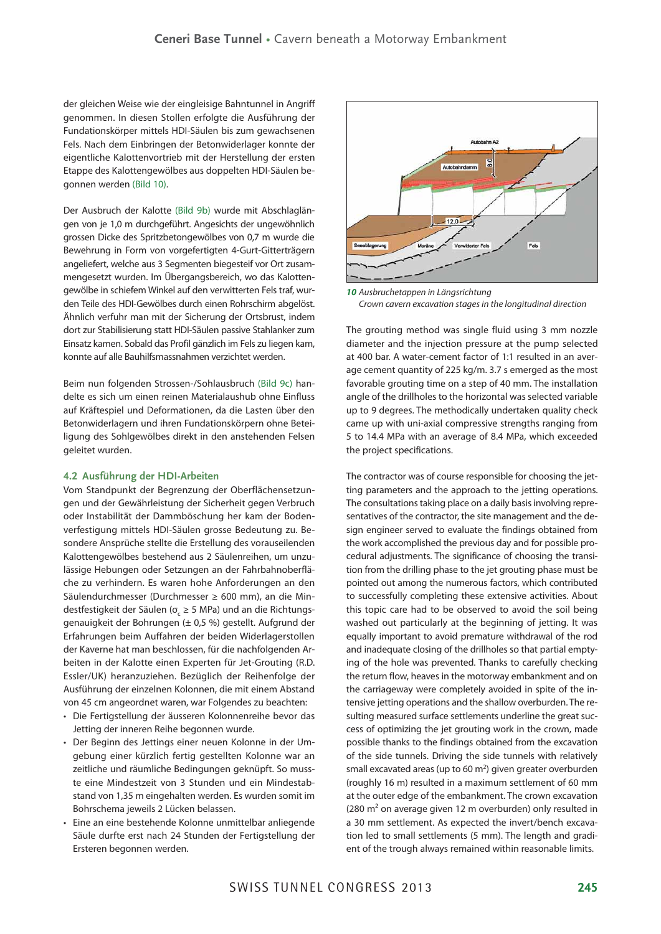der gleichen Weise wie der eingleisige Bahntunnel in Angriff genommen. In diesen Stollen erfolgte die Ausführung der Fundationskörper mittels HDI-Säulen bis zum gewachsenen Fels. Nach dem Einbringen der Betonwiderlager konnte der eigentliche Kalottenvortrieb mit der Herstellung der ersten Etappe des Kalottengewölbes aus doppelten HDI-Säulen begonnen werden (Bild 10).

Der Ausbruch der Kalotte (Bild 9b) wurde mit Abschlaglängen von je 1,0 m durchgeführt. Angesichts der ungewöhnlich grossen Dicke des Spritzbetongewölbes von 0,7 m wurde die Bewehrung in Form von vorgefertigten 4-Gurt-Gitterträgern angeliefert, welche aus 3 Segmenten biegesteif vor Ort zusammengesetzt wurden. Im Übergangsbereich, wo das Kalottengewölbe in schiefem Winkel auf den verwitterten Fels traf, wurden Teile des HDI-Gewölbes durch einen Rohrschirm abgelöst. Ähnlich verfuhr man mit der Sicherung der Ortsbrust, indem dort zur Stabilisierung statt HDI-Säulen passive Stahlanker zum Einsatz kamen. Sobald das Profil gänzlich im Fels zu liegen kam, konnte auf alle Bauhilfsmassnahmen verzichtet werden.

Beim nun folgenden Strossen-/Sohlausbruch (Bild 9c) handelte es sich um einen reinen Materialaushub ohne Einfluss auf Kräftespiel und Deformationen, da die Lasten über den Betonwiderlagern und ihren Fundationskörpern ohne Beteiligung des Sohlgewölbes direkt in den anstehenden Felsen geleitet wurden.

#### **4.2 Ausführung der HDI-Arbeiten**

Vom Standpunkt der Begrenzung der Oberflächensetzungen und der Gewährleistung der Sicherheit gegen Verbruch oder Instabilität der Dammböschung her kam der Bodenverfestigung mittels HDI-Säulen grosse Bedeutung zu. Besondere Ansprüche stellte die Erstellung des vorauseilenden Kalottengewölbes bestehend aus 2 Säulenreihen, um unzulässige Hebungen oder Setzungen an der Fahrbahnoberfläche zu verhindern. Es waren hohe Anforderungen an den Säulendurchmesser (Durchmesser ≥ 600 mm), an die Mindestfestigkeit der Säulen ( $\sigma_{\text{c}}$   $\geq$  5 MPa) und an die Richtungsgenauigkeit der Bohrungen (± 0,5 %) gestellt. Aufgrund der Erfahrungen beim Auffahren der beiden Widerlagerstollen der Kaverne hat man beschlossen, für die nachfolgenden Arbeiten in der Kalotte einen Experten für Jet-Grouting (R.D. Essler/UK) heranzuziehen. Bezüglich der Reihenfolge der Ausführung der einzelnen Kolonnen, die mit einem Abstand von 45 cm angeordnet waren, war Folgendes zu beachten:

- Die Fertigstellung der äusseren Kolonnenreihe bevor das Jetting der inneren Reihe begonnen wurde.
- Der Beginn des Jettings einer neuen Kolonne in der Umgebung einer kürzlich fertig gestellten Kolonne war an zeitliche und räumliche Bedingungen geknüpft. So musste eine Mindestzeit von 3 Stunden und ein Mindestabstand von 1,35 m eingehalten werden. Es wurden somit im Bohrschema jeweils 2 Lücken belassen.
- Eine an eine bestehende Kolonne unmittelbar anliegende Säule durfte erst nach 24 Stunden der Fertigstellung der Ersteren begonnen werden.



*10* Ausbruchetappen in Längsrichtung Crown cavern excavation stages in the longitudinal direction

The grouting method was single fluid using 3 mm nozzle diameter and the injection pressure at the pump selected at 400 bar. A water-cement factor of 1:1 resulted in an average cement quantity of 225 kg/m. 3.7 s emerged as the most favorable grouting time on a step of 40 mm. The installation angle of the drillholes to the horizontal was selected variable up to 9 degrees. The methodically undertaken quality check came up with uni-axial compressive strengths ranging from 5 to 14.4 MPa with an average of 8.4 MPa, which exceeded the project specifications.

The contractor was of course responsible for choosing the jetting parameters and the approach to the jetting operations. The consultations taking place on a daily basis involving representatives of the contractor, the site management and the design engineer served to evaluate the findings obtained from the work accomplished the previous day and for possible procedural adjustments. The significance of choosing the transition from the drilling phase to the jet grouting phase must be pointed out among the numerous factors, which contributed to successfully completing these extensive activities. About this topic care had to be observed to avoid the soil being washed out particularly at the beginning of jetting. It was equally important to avoid premature withdrawal of the rod and inadequate closing of the drillholes so that partial emptying of the hole was prevented. Thanks to carefully checking the return flow, heaves in the motorway embankment and on the carriageway were completely avoided in spite of the intensive jetting operations and the shallow overburden. The resulting measured surface settlements underline the great success of optimizing the jet grouting work in the crown, made possible thanks to the findings obtained from the excavation of the side tunnels. Driving the side tunnels with relatively small excavated areas (up to 60 $m<sup>2</sup>$ ) given greater overburden (roughly 16 m) resulted in a maximum settlement of 60 mm at the outer edge of the embankment. The crown excavation (280  $m<sup>2</sup>$  on average given 12 m overburden) only resulted in a 30 mm settlement. As expected the invert/bench excavation led to small settlements (5 mm). The length and gradient of the trough always remained within reasonable limits.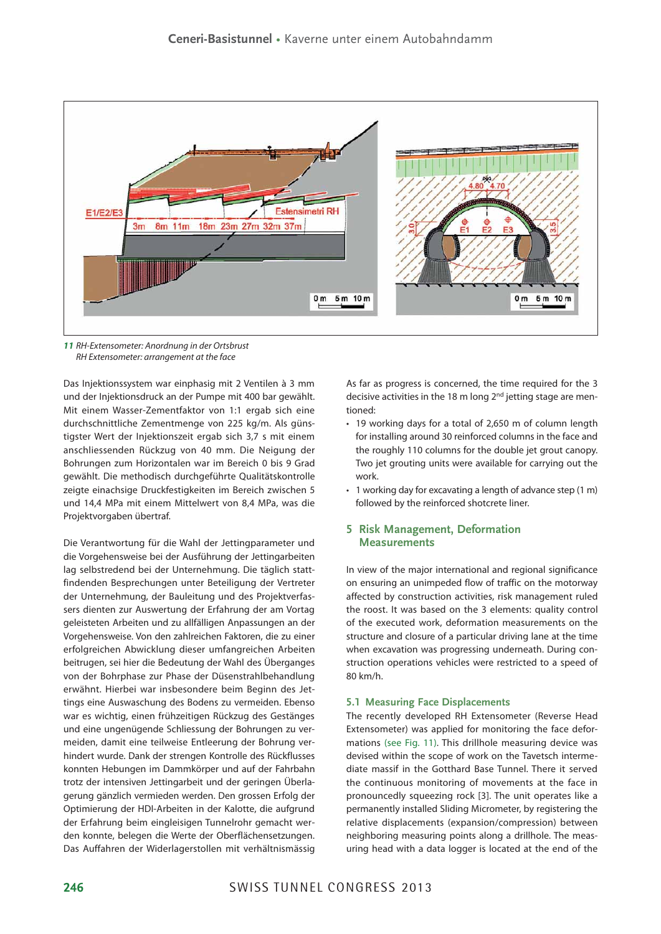

*11* RH-Extensometer: Anordnung in der Ortsbrust RH Extensometer: arrangement at the face

Das Injektionssystem war einphasig mit 2 Ventilen à 3 mm und der Injektionsdruck an der Pumpe mit 400 bar gewählt. Mit einem Wasser-Zementfaktor von 1:1 ergab sich eine durchschnittliche Zementmenge von 225 kg/m. Als günstigster Wert der Injektionszeit ergab sich 3,7 s mit einem anschliessenden Rückzug von 40 mm. Die Neigung der Bohrungen zum Horizontalen war im Bereich 0 bis 9 Grad gewählt. Die methodisch durchgeführte Qualitätskontrolle zeigte einachsige Druckfestigkeiten im Bereich zwischen 5 und 14,4 MPa mit einem Mittelwert von 8,4 MPa, was die Projektvorgaben übertraf.

Die Verantwortung für die Wahl der Jettingparameter und die Vorgehensweise bei der Ausführung der Jettingarbeiten lag selbstredend bei der Unternehmung. Die täglich stattfindenden Besprechungen unter Beteiligung der Vertreter der Unternehmung, der Bauleitung und des Projektverfassers dienten zur Auswertung der Erfahrung der am Vortag geleisteten Arbeiten und zu allfälligen Anpassungen an der Vorgehensweise. Von den zahlreichen Faktoren, die zu einer erfolgreichen Abwicklung dieser umfangreichen Arbeiten beitrugen, sei hier die Bedeutung der Wahl des Überganges von der Bohrphase zur Phase der Düsenstrahlbehandlung erwähnt. Hierbei war insbesondere beim Beginn des Jettings eine Auswaschung des Bodens zu vermeiden. Ebenso war es wichtig, einen frühzeitigen Rückzug des Gestänges und eine ungenügende Schliessung der Bohrungen zu vermeiden, damit eine teilweise Entleerung der Bohrung verhindert wurde. Dank der strengen Kontrolle des Rückflusses konnten Hebungen im Dammkörper und auf der Fahrbahn trotz der intensiven Jettingarbeit und der geringen Überlagerung gänzlich vermieden werden. Den grossen Erfolg der Optimierung der HDI-Arbeiten in der Kalotte, die aufgrund der Erfahrung beim eingleisigen Tunnelrohr gemacht werden konnte, belegen die Werte der Oberflächensetzungen. Das Auffahren der Widerlagerstollen mit verhältnismässig As far as progress is concerned, the time required for the 3 decisive activities in the 18 m long 2<sup>nd</sup> jetting stage are mentioned:

- 19 working days for a total of 2,650 m of column length for installing around 30 reinforced columns in the face and the roughly 110 columns for the double jet grout canopy. Two jet grouting units were available for carrying out the work.
- 1 working day for excavating a length of advance step (1 m) followed by the reinforced shotcrete liner.

## **5 Risk Management, Deformation Measurements**

In view of the major international and regional significance on ensuring an unimpeded flow of traffic on the motorway affected by construction activities, risk management ruled the roost. It was based on the 3 elements: quality control of the executed work, deformation measurements on the structure and closure of a particular driving lane at the time when excavation was progressing underneath. During construction operations vehicles were restricted to a speed of 80 km/h.

#### **5.1 Measuring Face Displacements**

The recently developed RH Extensometer (Reverse Head Extensometer) was applied for monitoring the face deformations (see Fig. 11). This drillhole measuring device was devised within the scope of work on the Tavetsch intermediate massif in the Gotthard Base Tunnel. There it served the continuous monitoring of movements at the face in pronouncedly squeezing rock [3]. The unit operates like a permanently installed Sliding Micrometer, by registering the relative displacements (expansion/compression) between neighboring measuring points along a drillhole. The measuring head with a data logger is located at the end of the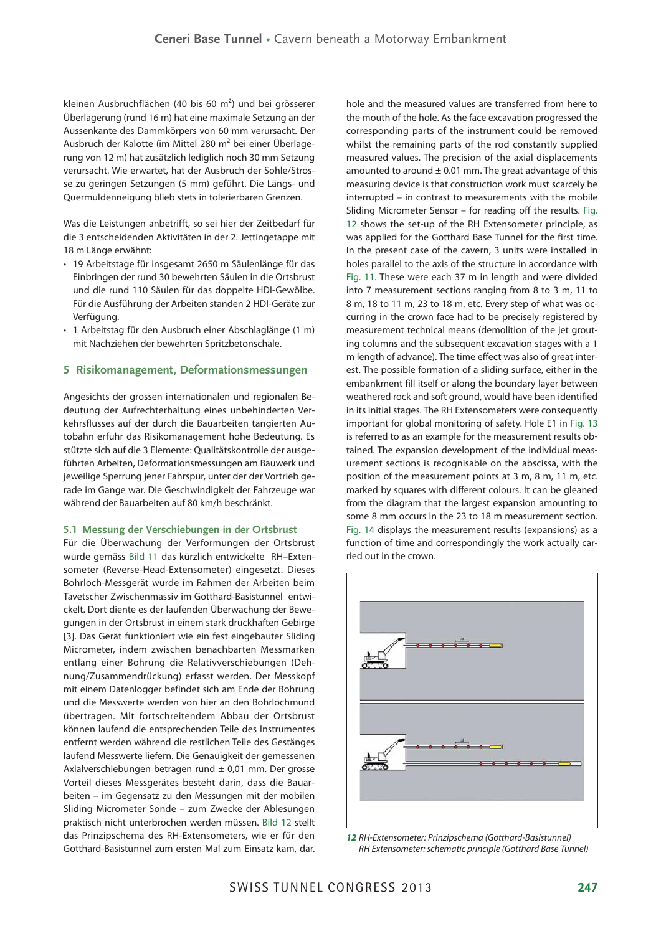kleinen Ausbruchflächen (40 bis 60 m<sup>2</sup>) und bei grösserer Überlagerung (rund 16 m) hat eine maximale Setzung an der Aussenkante des Dammkörpers von 60 mm verursacht. Der Ausbruch der Kalotte (im Mittel 280 m2 bei einer Überlagerung von 12 m) hat zusätzlich lediglich noch 30 mm Setzung verursacht. Wie erwartet, hat der Ausbruch der Sohle/Strosse zu geringen Setzungen (5 mm) geführt. Die Längs- und Quermuldenneigung blieb stets in tolerierbaren Grenzen.

Was die Leistungen anbetrifft, so sei hier der Zeitbedarf für die 3 entscheidenden Aktivitäten in der 2. Jettingetappe mit 18 m Länge erwähnt:

- 19 Arbeitstage für insgesamt 2650 m Säulenlänge für das Einbringen der rund 30 bewehrten Säulen in die Ortsbrust und die rund 110 Säulen für das doppelte HDI-Gewölbe. Für die Ausführung der Arbeiten standen 2 HDI-Geräte zur Verfügung.
- 1 Arbeitstag für den Ausbruch einer Abschlaglänge (1 m) mit Nachziehen der bewehrten Spritzbetonschale.

#### **5 Risikomanagement, Deformationsmessungen**

Angesichts der grossen internationalen und regionalen Bedeutung der Aufrechterhaltung eines unbehinderten Verkehrsflusses auf der durch die Bauarbeiten tangierten Autobahn erfuhr das Risikomanagement hohe Bedeutung. Es stützte sich auf die 3 Elemente: Qualitätskontrolle der ausgeführten Arbeiten, Deformationsmessungen am Bauwerk und jeweilige Sperrung jener Fahrspur, unter der der Vortrieb gerade im Gange war. Die Geschwindigkeit der Fahrzeuge war während der Bauarbeiten auf 80 km/h beschränkt.

#### **5.1 Messung der Verschiebungen in der Ortsbrust**

Für die Überwachung der Verformungen der Ortsbrust wurde gemäss Bild 11 das kürzlich entwickelte RH–Extensometer (Reverse-Head-Extensometer) eingesetzt. Dieses Bohrloch-Messgerät wurde im Rahmen der Arbeiten beim Tavetscher Zwischenmassiv im Gotthard-Basistunnel entwickelt. Dort diente es der laufenden Überwachung der Bewegungen in der Ortsbrust in einem stark druckhaften Gebirge [3]. Das Gerät funktioniert wie ein fest eingebauter Sliding Micrometer, indem zwischen benachbarten Messmarken entlang einer Bohrung die Relativverschiebungen (Dehnung/Zusammendrückung) erfasst werden. Der Messkopf mit einem Datenlogger befindet sich am Ende der Bohrung und die Messwerte werden von hier an den Bohrlochmund übertragen. Mit fortschreitendem Abbau der Ortsbrust können laufend die entsprechenden Teile des Instrumentes entfernt werden während die restlichen Teile des Gestänges laufend Messwerte liefern. Die Genauigkeit der gemessenen Axialverschiebungen betragen rund  $\pm$  0,01 mm. Der grosse Vorteil dieses Messgerätes besteht darin, dass die Bauarbeiten – im Gegensatz zu den Messungen mit der mobilen Sliding Micrometer Sonde – zum Zwecke der Ablesungen praktisch nicht unterbrochen werden müssen. Bild 12 stellt das Prinzipschema des RH-Extensometers, wie er für den Gotthard-Basistunnel zum ersten Mal zum Einsatz kam, dar. hole and the measured values are transferred from here to the mouth of the hole. As the face excavation progressed the corresponding parts of the instrument could be removed whilst the remaining parts of the rod constantly supplied measured values. The precision of the axial displacements amounted to around  $\pm$  0.01 mm. The great advantage of this measuring device is that construction work must scarcely be interrupted – in contrast to measurements with the mobile Sliding Micrometer Sensor – for reading off the results. Fig. 12 shows the set-up of the RH Extensometer principle, as was applied for the Gotthard Base Tunnel for the first time. In the present case of the cavern, 3 units were installed in holes parallel to the axis of the structure in accordance with Fig. 11. These were each 37 m in length and were divided into 7 measurement sections ranging from 8 to 3 m, 11 to 8 m, 18 to 11 m, 23 to 18 m, etc. Every step of what was occurring in the crown face had to be precisely registered by measurement technical means (demolition of the jet grouting columns and the subsequent excavation stages with a 1 m length of advance). The time effect was also of great interest. The possible formation of a sliding surface, either in the embankment fill itself or along the boundary layer between weathered rock and soft ground, would have been identified in its initial stages. The RH Extensometers were consequently important for global monitoring of safety. Hole E1 in Fig. 13 is referred to as an example for the measurement results obtained. The expansion development of the individual measurement sections is recognisable on the abscissa, with the position of the measurement points at 3 m, 8 m, 11 m, etc. marked by squares with different colours. It can be gleaned from the diagram that the largest expansion amounting to some 8 mm occurs in the 23 to 18 m measurement section. Fig. 14 displays the measurement results (expansions) as a function of time and correspondingly the work actually carried out in the crown.



*12* RH-Extensometer: Prinzipschema (Gotthard-Basistunnel) RH Extensometer: schematic principle (Gotthard Base Tunnel)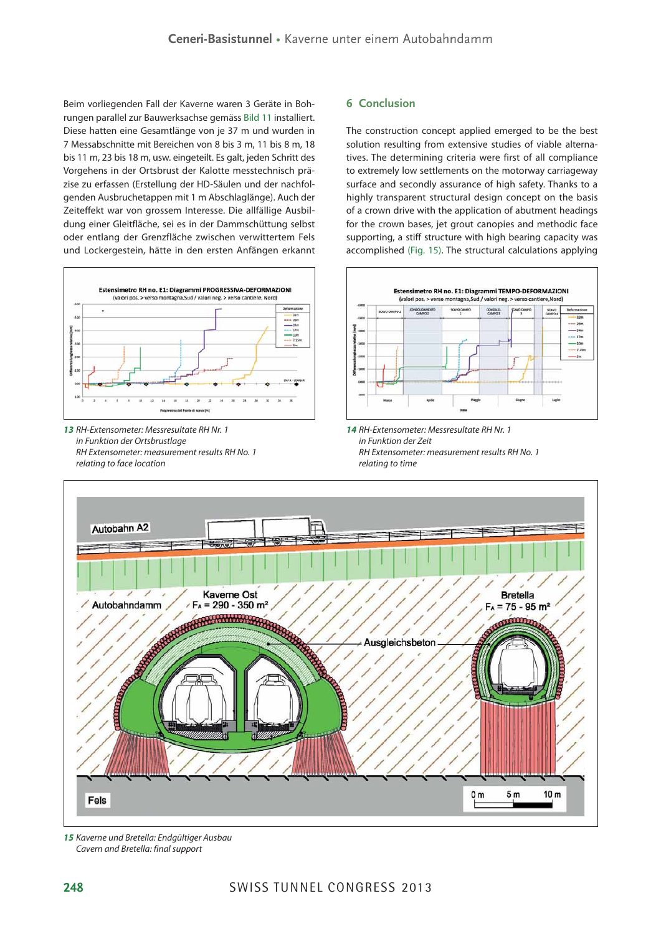Beim vorliegenden Fall der Kaverne waren 3 Geräte in Bohrungen parallel zur Bauwerksachse gemäss Bild 11 installiert. Diese hatten eine Gesamtlänge von je 37 m und wurden in 7 Messabschnitte mit Bereichen von 8 bis 3 m, 11 bis 8 m, 18 bis 11 m, 23 bis 18 m, usw. eingeteilt. Es galt, jeden Schritt des Vorgehens in der Ortsbrust der Kalotte messtechnisch präzise zu erfassen (Erstellung der HD-Säulen und der nachfolgenden Ausbruchetappen mit 1 m Abschlaglänge). Auch der Zeiteffekt war von grossem Interesse. Die allfällige Ausbildung einer Gleitfläche, sei es in der Dammschüttung selbst oder entlang der Grenzfläche zwischen verwittertem Fels und Lockergestein, hätte in den ersten Anfängen erkannt



*13* RH-Extensometer: Messresultate RH Nr. 1 in Funktion der Ortsbrustlage RH Extensometer: measurement results RH No. 1 relating to face location

# **6 Conclusion**

The construction concept applied emerged to be the best solution resulting from extensive studies of viable alternatives. The determining criteria were first of all compliance to extremely low settlements on the motorway carriageway surface and secondly assurance of high safety. Thanks to a highly transparent structural design concept on the basis of a crown drive with the application of abutment headings for the crown bases, jet grout canopies and methodic face supporting, a stiff structure with high bearing capacity was accomplished (Fig. 15). The structural calculations applying



*14* RH-Extensometer: Messresultate RH Nr. 1 in Funktion der Zeit RH Extensometer: measurement results RH No. 1 relating to time



*15* Kaverne und Bretella: Endgültiger Ausbau Cavern and Bretella: final support